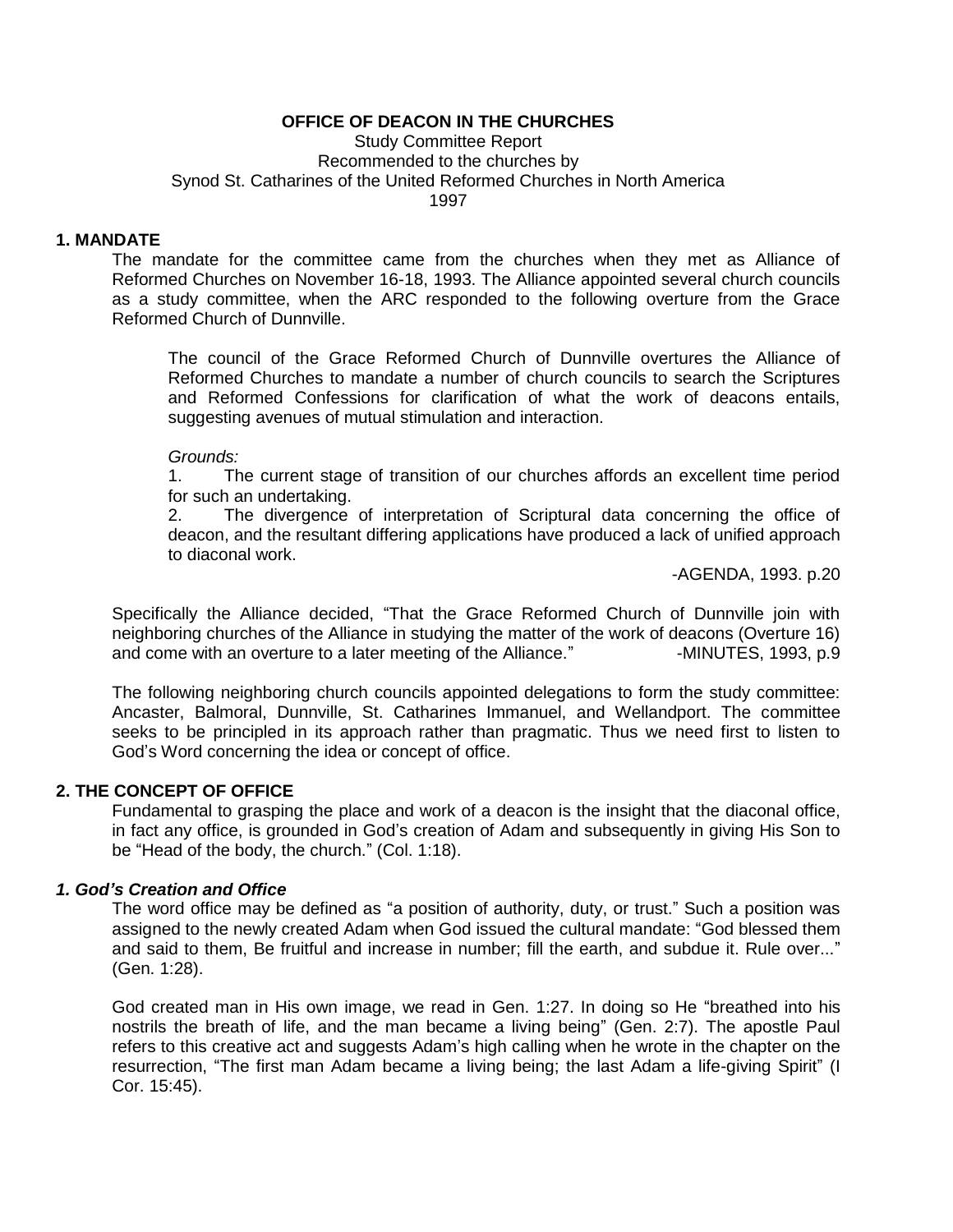Study Committee Report Recommended to the churches by Synod St. Catharines of the United Reformed Churches in North America 1997

# **1. MANDATE**

The mandate for the committee came from the churches when they met as Alliance of Reformed Churches on November 16-18, 1993. The Alliance appointed several church councils as a study committee, when the ARC responded to the following overture from the Grace Reformed Church of Dunnville.

The council of the Grace Reformed Church of Dunnville overtures the Alliance of Reformed Churches to mandate a number of church councils to search the Scriptures and Reformed Confessions for clarification of what the work of deacons entails, suggesting avenues of mutual stimulation and interaction.

#### *Grounds:*

1. The current stage of transition of our churches affords an excellent time period for such an undertaking.

2. The divergence of interpretation of Scriptural data concerning the office of deacon, and the resultant differing applications have produced a lack of unified approach to diaconal work.

-AGENDA, 1993. p.20

Specifically the Alliance decided, "That the Grace Reformed Church of Dunnville join with neighboring churches of the Alliance in studying the matter of the work of deacons (Overture 16) and come with an overture to a later meeting of the Alliance." - MINUTES, 1993, p.9

The following neighboring church councils appointed delegations to form the study committee: Ancaster, Balmoral, Dunnville, St. Catharines Immanuel, and Wellandport. The committee seeks to be principled in its approach rather than pragmatic. Thus we need first to listen to God"s Word concerning the idea or concept of office.

## **2. THE CONCEPT OF OFFICE**

Fundamental to grasping the place and work of a deacon is the insight that the diaconal office, in fact any office, is grounded in God's creation of Adam and subsequently in giving His Son to be "Head of the body, the church." (Col. 1:18).

# *1. God's Creation and Office*

The word office may be defined as "a position of authority, duty, or trust." Such a position was assigned to the newly created Adam when God issued the cultural mandate: "God blessed them and said to them, Be fruitful and increase in number; fill the earth, and subdue it. Rule over..." (Gen. 1:28).

God created man in His own image, we read in Gen. 1:27. In doing so He "breathed into his nostrils the breath of life, and the man became a living being" (Gen. 2:7). The apostle Paul refers to this creative act and suggests Adam"s high calling when he wrote in the chapter on the resurrection, "The first man Adam became a living being; the last Adam a life-giving Spirit" (I Cor. 15:45).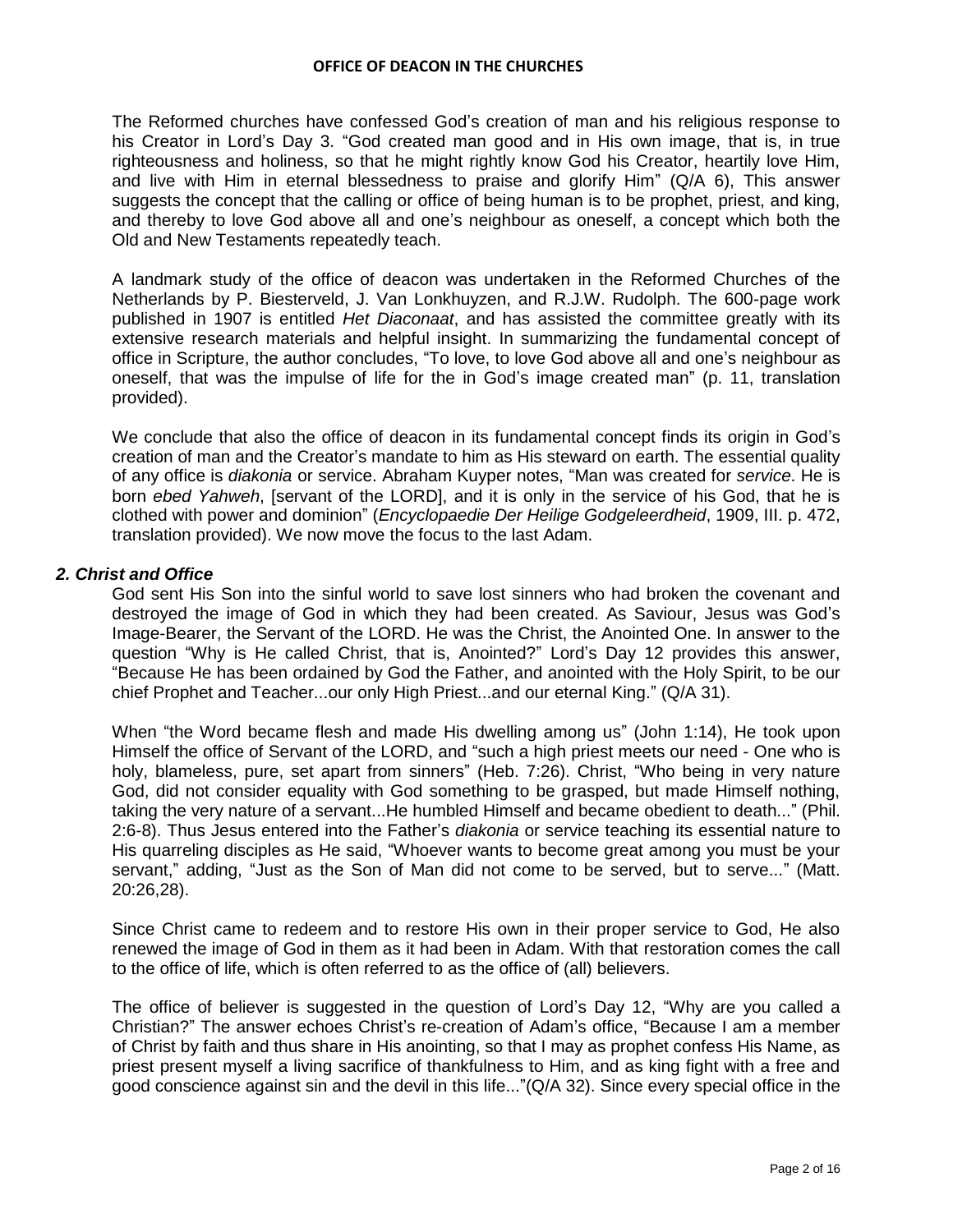The Reformed churches have confessed God"s creation of man and his religious response to his Creator in Lord"s Day 3. "God created man good and in His own image, that is, in true righteousness and holiness, so that he might rightly know God his Creator, heartily love Him, and live with Him in eternal blessedness to praise and glorify Him" (Q/A 6), This answer suggests the concept that the calling or office of being human is to be prophet, priest, and king, and thereby to love God above all and one"s neighbour as oneself, a concept which both the Old and New Testaments repeatedly teach.

A landmark study of the office of deacon was undertaken in the Reformed Churches of the Netherlands by P. Biesterveld, J. Van Lonkhuyzen, and R.J.W. Rudolph. The 600-page work published in 1907 is entitled *Het Diaconaat*, and has assisted the committee greatly with its extensive research materials and helpful insight. In summarizing the fundamental concept of office in Scripture, the author concludes, "To love, to love God above all and one"s neighbour as oneself, that was the impulse of life for the in God"s image created man" (p. 11, translation provided).

We conclude that also the office of deacon in its fundamental concept finds its origin in God"s creation of man and the Creator"s mandate to him as His steward on earth. The essential quality of any office is *diakonia* or service. Abraham Kuyper notes, "Man was created for *service*. He is born *ebed Yahweh*, [servant of the LORD], and it is only in the service of his God, that he is clothed with power and dominion" (*Encyclopaedie Der Heilige Godgeleerdheid*, 1909, III. p. 472, translation provided). We now move the focus to the last Adam.

# *2. Christ and Office*

God sent His Son into the sinful world to save lost sinners who had broken the covenant and destroyed the image of God in which they had been created. As Saviour, Jesus was God"s Image-Bearer, the Servant of the LORD. He was the Christ, the Anointed One. In answer to the question "Why is He called Christ, that is, Anointed?" Lord"s Day 12 provides this answer, "Because He has been ordained by God the Father, and anointed with the Holy Spirit, to be our chief Prophet and Teacher...our only High Priest...and our eternal King." (Q/A 31).

When "the Word became flesh and made His dwelling among us" (John 1:14), He took upon Himself the office of Servant of the LORD, and "such a high priest meets our need - One who is holy, blameless, pure, set apart from sinners" (Heb. 7:26). Christ, "Who being in very nature God, did not consider equality with God something to be grasped, but made Himself nothing, taking the very nature of a servant...He humbled Himself and became obedient to death..." (Phil. 2:6-8). Thus Jesus entered into the Father"s *diakonia* or service teaching its essential nature to His quarreling disciples as He said, "Whoever wants to become great among you must be your servant," adding, "Just as the Son of Man did not come to be served, but to serve..." (Matt. 20:26,28).

Since Christ came to redeem and to restore His own in their proper service to God, He also renewed the image of God in them as it had been in Adam. With that restoration comes the call to the office of life, which is often referred to as the office of (all) believers.

The office of believer is suggested in the question of Lord"s Day 12, "Why are you called a Christian?" The answer echoes Christ"s re-creation of Adam"s office, "Because I am a member of Christ by faith and thus share in His anointing, so that I may as prophet confess His Name, as priest present myself a living sacrifice of thankfulness to Him, and as king fight with a free and good conscience against sin and the devil in this life..."(Q/A 32). Since every special office in the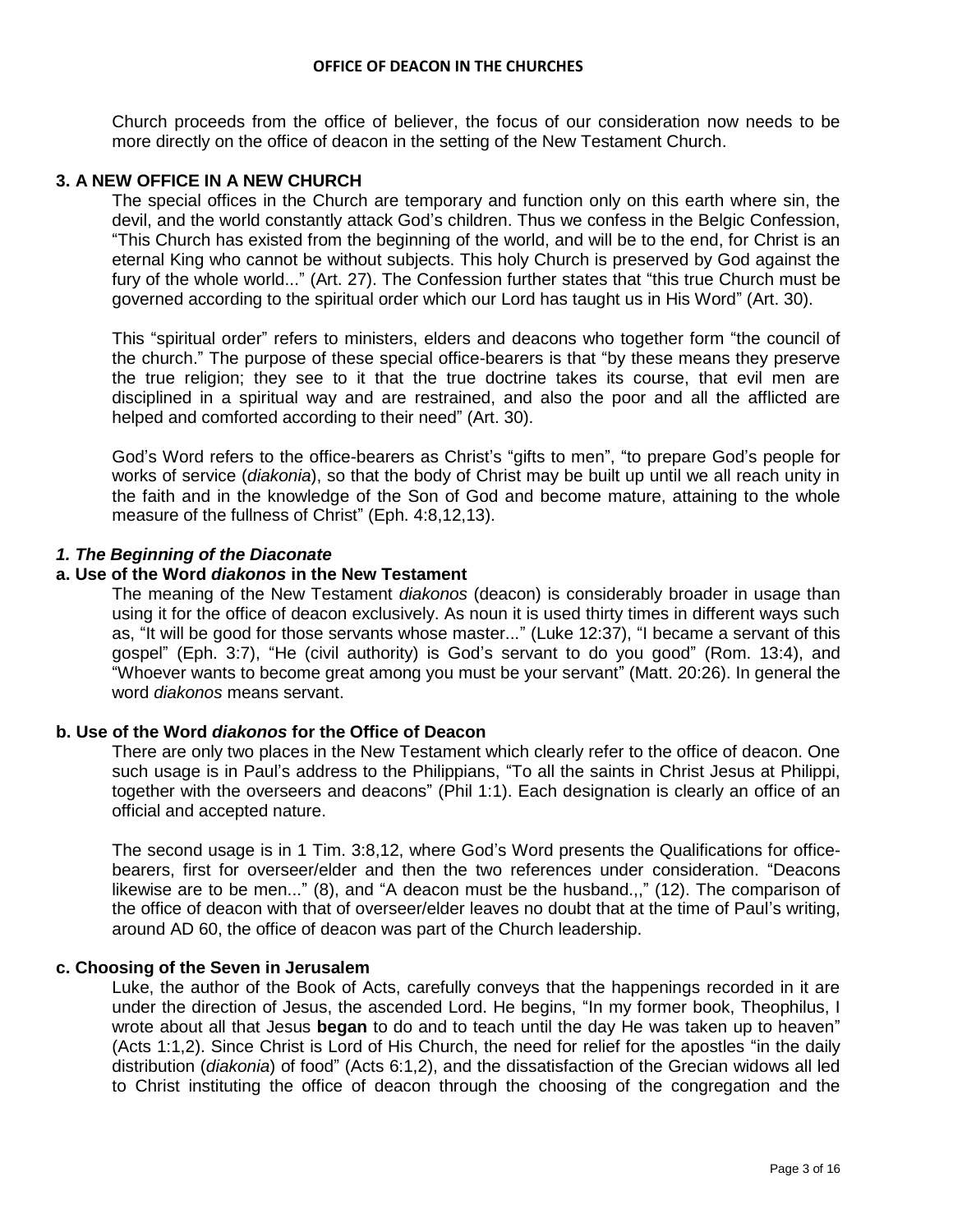Church proceeds from the office of believer, the focus of our consideration now needs to be more directly on the office of deacon in the setting of the New Testament Church.

## **3. A NEW OFFICE IN A NEW CHURCH**

The special offices in the Church are temporary and function only on this earth where sin, the devil, and the world constantly attack God"s children. Thus we confess in the Belgic Confession, "This Church has existed from the beginning of the world, and will be to the end, for Christ is an eternal King who cannot be without subjects. This holy Church is preserved by God against the fury of the whole world..." (Art. 27). The Confession further states that "this true Church must be governed according to the spiritual order which our Lord has taught us in His Word" (Art. 30).

This "spiritual order" refers to ministers, elders and deacons who together form "the council of the church." The purpose of these special office-bearers is that "by these means they preserve the true religion; they see to it that the true doctrine takes its course, that evil men are disciplined in a spiritual way and are restrained, and also the poor and all the afflicted are helped and comforted according to their need" (Art. 30).

God"s Word refers to the office-bearers as Christ"s "gifts to men", "to prepare God"s people for works of service (*diakonia*), so that the body of Christ may be built up until we all reach unity in the faith and in the knowledge of the Son of God and become mature, attaining to the whole measure of the fullness of Christ" (Eph. 4:8,12,13).

# *1. The Beginning of the Diaconate*

## **a. Use of the Word** *diakonos* **in the New Testament**

The meaning of the New Testament *diakonos* (deacon) is considerably broader in usage than using it for the office of deacon exclusively. As noun it is used thirty times in different ways such as, "It will be good for those servants whose master..." (Luke 12:37), "I became a servant of this gospel" (Eph. 3:7), "He (civil authority) is God"s servant to do you good" (Rom. 13:4), and "Whoever wants to become great among you must be your servant" (Matt. 20:26). In general the word *diakonos* means servant.

## **b. Use of the Word** *diakonos* **for the Office of Deacon**

There are only two places in the New Testament which clearly refer to the office of deacon. One such usage is in Paul's address to the Philippians, "To all the saints in Christ Jesus at Philippi, together with the overseers and deacons" (Phil 1:1). Each designation is clearly an office of an official and accepted nature.

The second usage is in 1 Tim. 3:8,12, where God"s Word presents the Qualifications for officebearers, first for overseer/elder and then the two references under consideration. "Deacons likewise are to be men..." (8), and "A deacon must be the husband.,," (12). The comparison of the office of deacon with that of overseer/elder leaves no doubt that at the time of Paul"s writing, around AD 60, the office of deacon was part of the Church leadership.

## **c. Choosing of the Seven in Jerusalem**

Luke, the author of the Book of Acts, carefully conveys that the happenings recorded in it are under the direction of Jesus, the ascended Lord. He begins, "In my former book, Theophilus, I wrote about all that Jesus **began** to do and to teach until the day He was taken up to heaven" (Acts 1:1,2). Since Christ is Lord of His Church, the need for relief for the apostles "in the daily distribution (*diakonia*) of food" (Acts 6:1,2), and the dissatisfaction of the Grecian widows all led to Christ instituting the office of deacon through the choosing of the congregation and the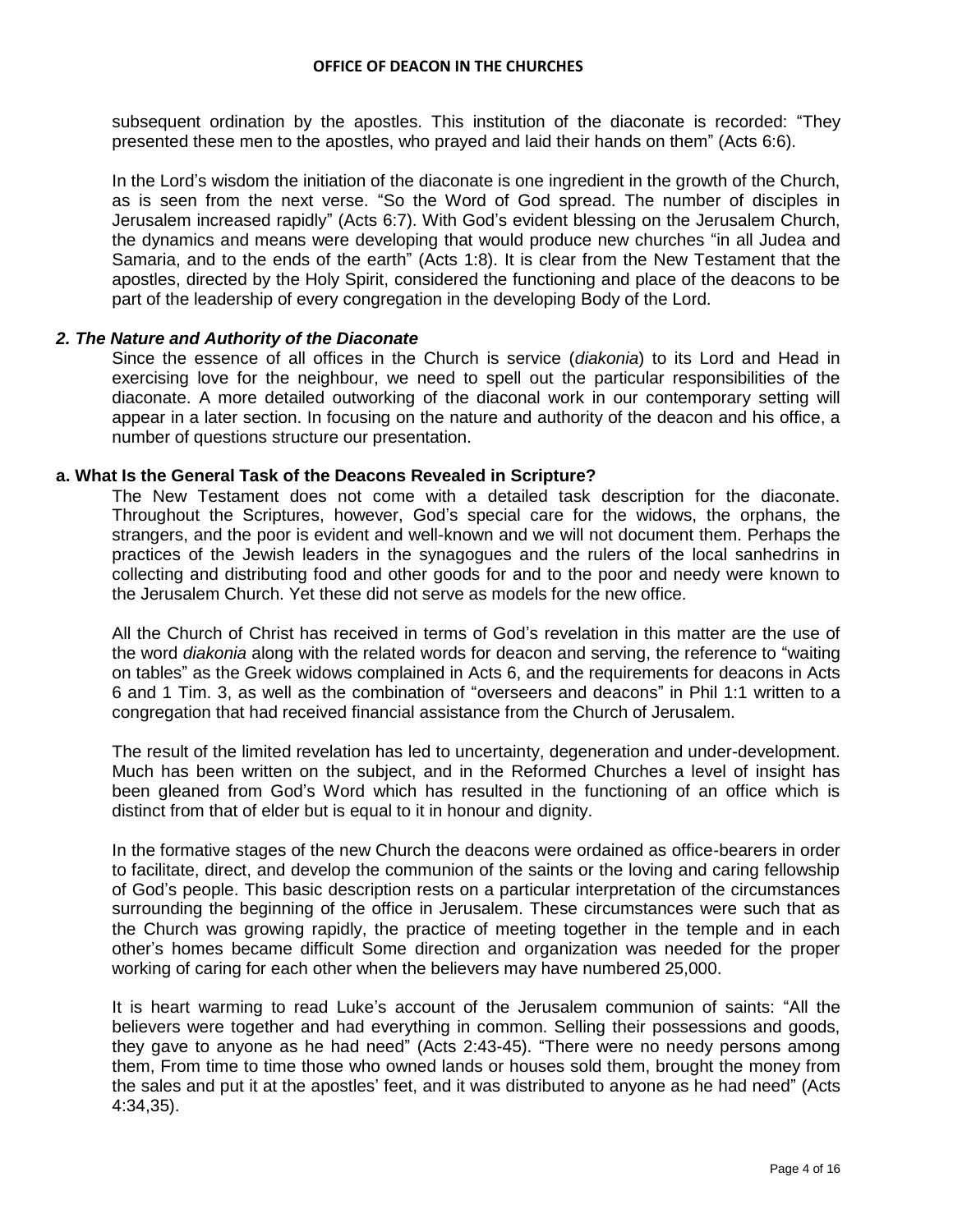subsequent ordination by the apostles. This institution of the diaconate is recorded: "They presented these men to the apostles, who prayed and laid their hands on them" (Acts 6:6).

In the Lord"s wisdom the initiation of the diaconate is one ingredient in the growth of the Church, as is seen from the next verse. "So the Word of God spread. The number of disciples in Jerusalem increased rapidly" (Acts 6:7). With God"s evident blessing on the Jerusalem Church, the dynamics and means were developing that would produce new churches "in all Judea and Samaria, and to the ends of the earth" (Acts 1:8). It is clear from the New Testament that the apostles, directed by the Holy Spirit, considered the functioning and place of the deacons to be part of the leadership of every congregation in the developing Body of the Lord.

#### *2. The Nature and Authority of the Diaconate*

Since the essence of all offices in the Church is service (*diakonia*) to its Lord and Head in exercising love for the neighbour, we need to spell out the particular responsibilities of the diaconate. A more detailed outworking of the diaconal work in our contemporary setting will appear in a later section. In focusing on the nature and authority of the deacon and his office, a number of questions structure our presentation.

#### **a. What Is the General Task of the Deacons Revealed in Scripture?**

The New Testament does not come with a detailed task description for the diaconate. Throughout the Scriptures, however, God"s special care for the widows, the orphans, the strangers, and the poor is evident and well-known and we will not document them. Perhaps the practices of the Jewish leaders in the synagogues and the rulers of the local sanhedrins in collecting and distributing food and other goods for and to the poor and needy were known to the Jerusalem Church. Yet these did not serve as models for the new office.

All the Church of Christ has received in terms of God"s revelation in this matter are the use of the word *diakonia* along with the related words for deacon and serving, the reference to "waiting on tables" as the Greek widows complained in Acts 6, and the requirements for deacons in Acts 6 and 1 Tim. 3, as well as the combination of "overseers and deacons" in Phil 1:1 written to a congregation that had received financial assistance from the Church of Jerusalem.

The result of the limited revelation has led to uncertainty, degeneration and under-development. Much has been written on the subject, and in the Reformed Churches a level of insight has been gleaned from God"s Word which has resulted in the functioning of an office which is distinct from that of elder but is equal to it in honour and dignity.

In the formative stages of the new Church the deacons were ordained as office-bearers in order to facilitate, direct, and develop the communion of the saints or the loving and caring fellowship of God"s people. This basic description rests on a particular interpretation of the circumstances surrounding the beginning of the office in Jerusalem. These circumstances were such that as the Church was growing rapidly, the practice of meeting together in the temple and in each other"s homes became difficult Some direction and organization was needed for the proper working of caring for each other when the believers may have numbered 25,000.

It is heart warming to read Luke"s account of the Jerusalem communion of saints: "All the believers were together and had everything in common. Selling their possessions and goods, they gave to anyone as he had need" (Acts 2:43-45). "There were no needy persons among them, From time to time those who owned lands or houses sold them, brought the money from the sales and put it at the apostles' feet, and it was distributed to anyone as he had need" (Acts 4:34,35).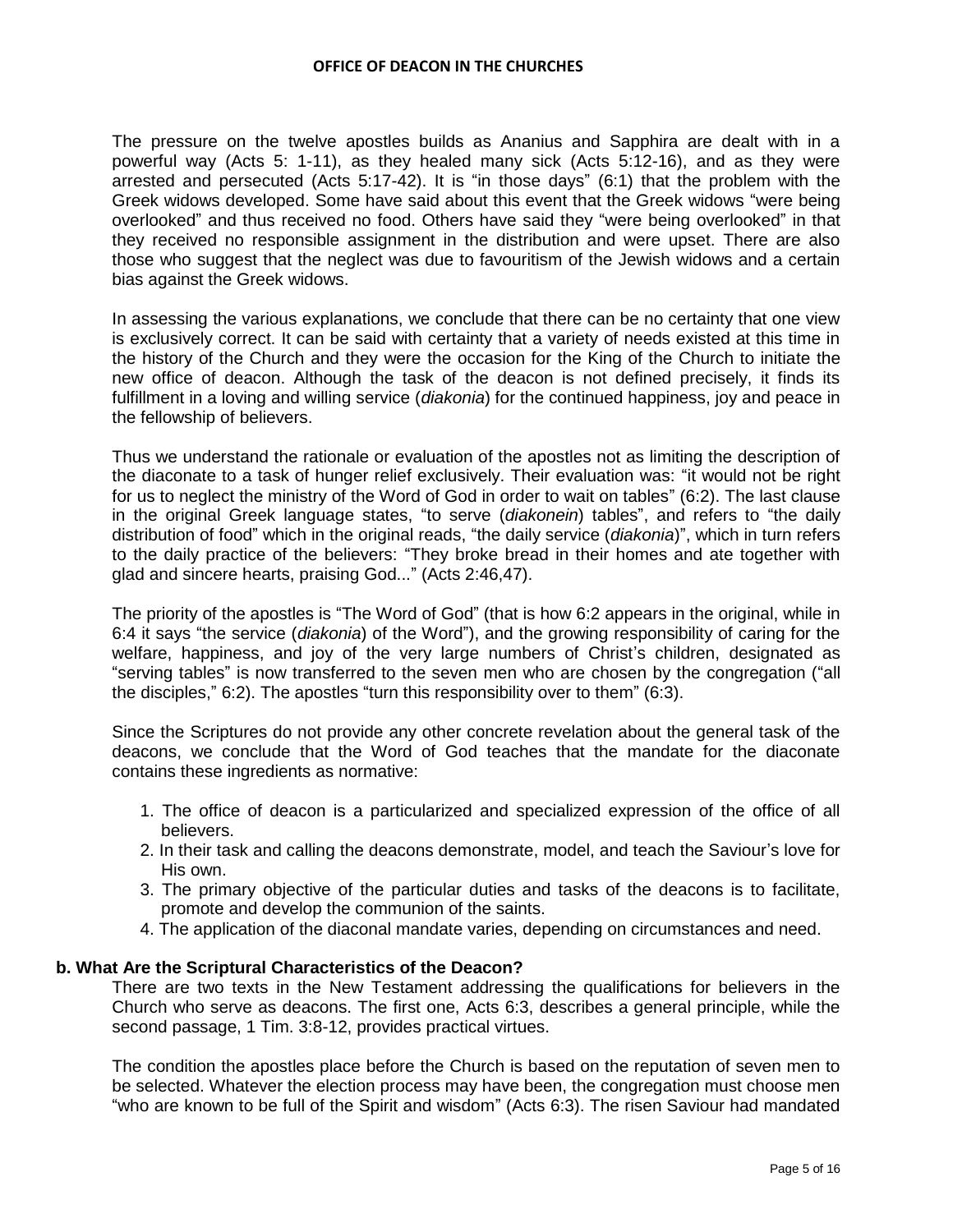The pressure on the twelve apostles builds as Ananius and Sapphira are dealt with in a powerful way (Acts 5: 1-11), as they healed many sick (Acts 5:12-16), and as they were arrested and persecuted (Acts 5:17-42). It is "in those days" (6:1) that the problem with the Greek widows developed. Some have said about this event that the Greek widows "were being overlooked" and thus received no food. Others have said they "were being overlooked" in that they received no responsible assignment in the distribution and were upset. There are also those who suggest that the neglect was due to favouritism of the Jewish widows and a certain bias against the Greek widows.

In assessing the various explanations, we conclude that there can be no certainty that one view is exclusively correct. It can be said with certainty that a variety of needs existed at this time in the history of the Church and they were the occasion for the King of the Church to initiate the new office of deacon. Although the task of the deacon is not defined precisely, it finds its fulfillment in a loving and willing service (*diakonia*) for the continued happiness, joy and peace in the fellowship of believers.

Thus we understand the rationale or evaluation of the apostles not as limiting the description of the diaconate to a task of hunger relief exclusively. Their evaluation was: "it would not be right for us to neglect the ministry of the Word of God in order to wait on tables" (6:2). The last clause in the original Greek language states, "to serve (*diakonein*) tables", and refers to "the daily distribution of food" which in the original reads, "the daily service (*diakonia*)", which in turn refers to the daily practice of the believers: "They broke bread in their homes and ate together with glad and sincere hearts, praising God..." (Acts 2:46,47).

The priority of the apostles is "The Word of God" (that is how 6:2 appears in the original, while in 6:4 it says "the service (*diakonia*) of the Word"), and the growing responsibility of caring for the welfare, happiness, and joy of the very large numbers of Christ"s children, designated as "serving tables" is now transferred to the seven men who are chosen by the congregation ("all the disciples," 6:2). The apostles "turn this responsibility over to them" (6:3).

Since the Scriptures do not provide any other concrete revelation about the general task of the deacons, we conclude that the Word of God teaches that the mandate for the diaconate contains these ingredients as normative:

- 1. The office of deacon is a particularized and specialized expression of the office of all believers.
- 2. In their task and calling the deacons demonstrate, model, and teach the Saviour"s love for His own.
- 3. The primary objective of the particular duties and tasks of the deacons is to facilitate, promote and develop the communion of the saints.
- 4. The application of the diaconal mandate varies, depending on circumstances and need.

## **b. What Are the Scriptural Characteristics of the Deacon?**

There are two texts in the New Testament addressing the qualifications for believers in the Church who serve as deacons. The first one, Acts 6:3, describes a general principle, while the second passage, 1 Tim. 3:8-12, provides practical virtues.

The condition the apostles place before the Church is based on the reputation of seven men to be selected. Whatever the election process may have been, the congregation must choose men "who are known to be full of the Spirit and wisdom" (Acts 6:3). The risen Saviour had mandated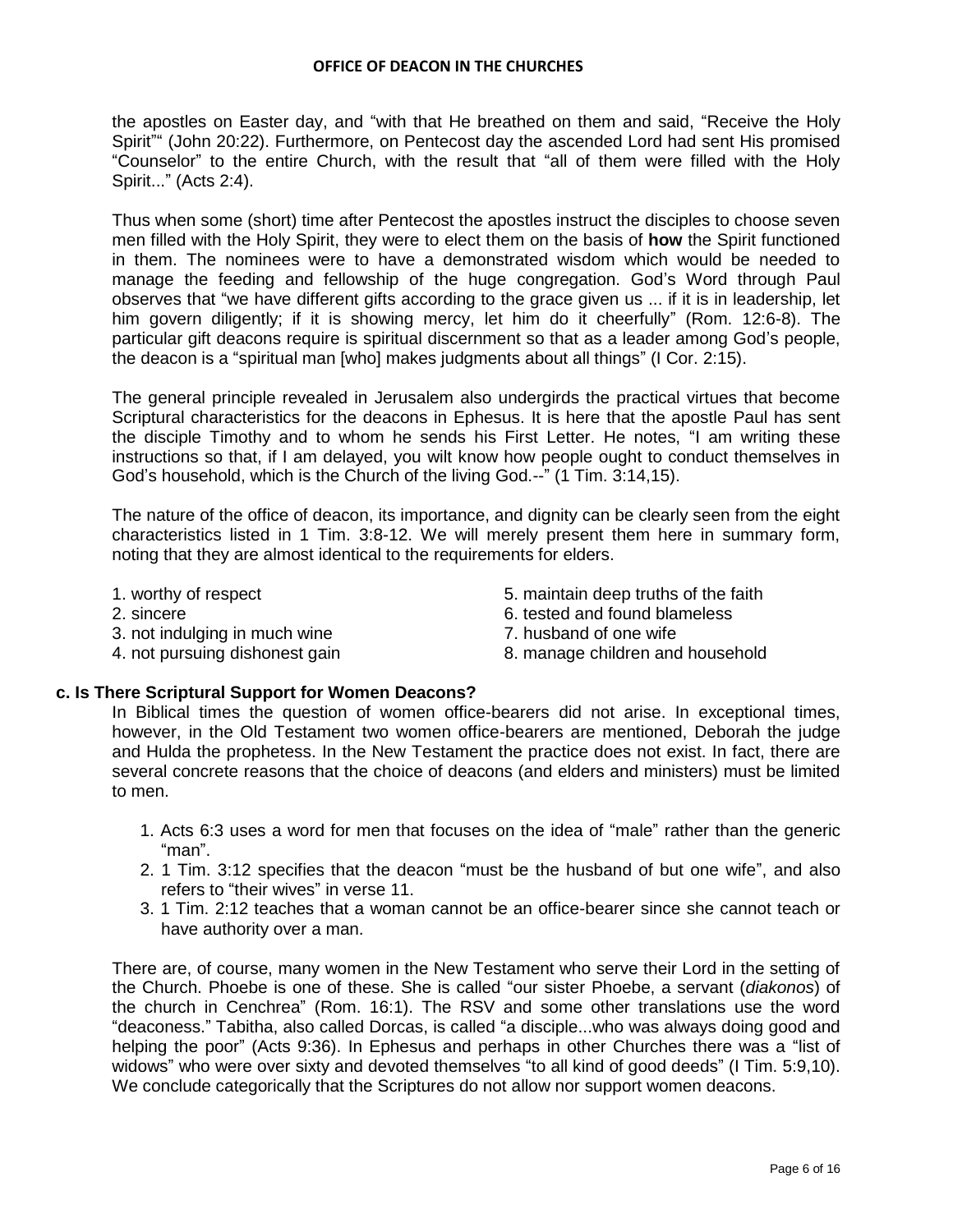the apostles on Easter day, and "with that He breathed on them and said, "Receive the Holy Spirit"" (John 20:22). Furthermore, on Pentecost day the ascended Lord had sent His promised "Counselor" to the entire Church, with the result that "all of them were filled with the Holy Spirit..." (Acts 2:4).

Thus when some (short) time after Pentecost the apostles instruct the disciples to choose seven men filled with the Holy Spirit, they were to elect them on the basis of **how** the Spirit functioned in them. The nominees were to have a demonstrated wisdom which would be needed to manage the feeding and fellowship of the huge congregation. God"s Word through Paul observes that "we have different gifts according to the grace given us ... if it is in leadership, let him govern diligently; if it is showing mercy, let him do it cheerfully" (Rom. 12:6-8). The particular gift deacons require is spiritual discernment so that as a leader among God"s people, the deacon is a "spiritual man [who] makes judgments about all things" (I Cor. 2:15).

The general principle revealed in Jerusalem also undergirds the practical virtues that become Scriptural characteristics for the deacons in Ephesus. It is here that the apostle Paul has sent the disciple Timothy and to whom he sends his First Letter. He notes, "I am writing these instructions so that, if I am delayed, you wilt know how people ought to conduct themselves in God"s household, which is the Church of the living God.--" (1 Tim. 3:14,15).

The nature of the office of deacon, its importance, and dignity can be clearly seen from the eight characteristics listed in 1 Tim. 3:8-12. We will merely present them here in summary form, noting that they are almost identical to the requirements for elders.

- 
- 
- 3. not indulging in much wine The South Constant Constants and Constants of one wife
	-
- 1. worthy of respect 5. maintain deep truths of the faith
- 2. sincere 6. tested and found blameless
	-
- 4. not pursuing dishonest gain 8. manage children and household

## **c. Is There Scriptural Support for Women Deacons?**

In Biblical times the question of women office-bearers did not arise. In exceptional times, however, in the Old Testament two women office-bearers are mentioned, Deborah the judge and Hulda the prophetess. In the New Testament the practice does not exist. In fact, there are several concrete reasons that the choice of deacons (and elders and ministers) must be limited to men.

- 1. Acts 6:3 uses a word for men that focuses on the idea of "male" rather than the generic "man".
- 2. 1 Tim. 3:12 specifies that the deacon "must be the husband of but one wife", and also refers to "their wives" in verse 11.
- 3. 1 Tim. 2:12 teaches that a woman cannot be an office-bearer since she cannot teach or have authority over a man.

There are, of course, many women in the New Testament who serve their Lord in the setting of the Church. Phoebe is one of these. She is called "our sister Phoebe, a servant (*diakonos*) of the church in Cenchrea" (Rom. 16:1). The RSV and some other translations use the word "deaconess." Tabitha, also called Dorcas, is called "a disciple...who was always doing good and helping the poor" (Acts 9:36). In Ephesus and perhaps in other Churches there was a "list of widows" who were over sixty and devoted themselves "to all kind of good deeds" (I Tim. 5:9,10). We conclude categorically that the Scriptures do not allow nor support women deacons.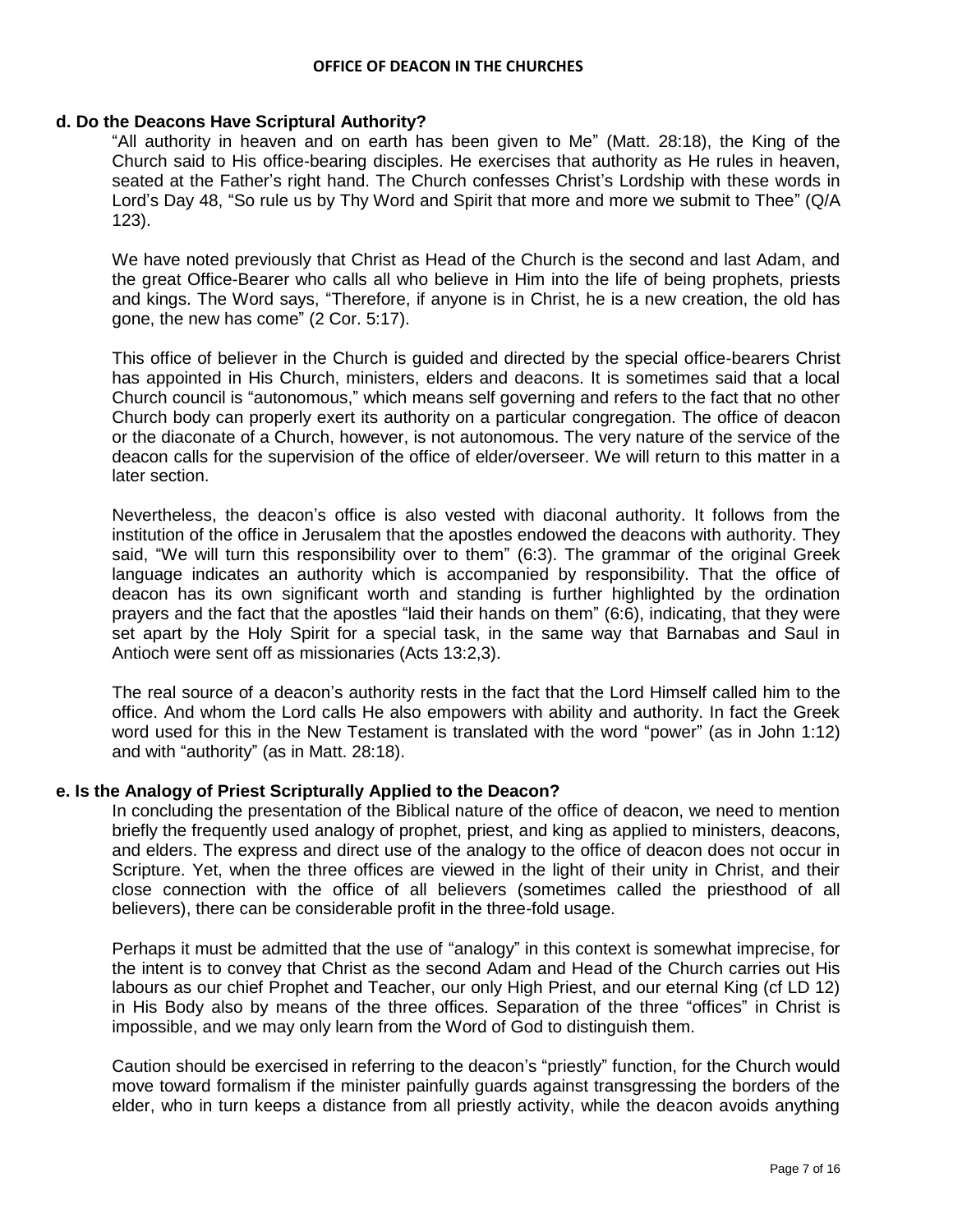#### **d. Do the Deacons Have Scriptural Authority?**

"All authority in heaven and on earth has been given to Me" (Matt. 28:18), the King of the Church said to His office-bearing disciples. He exercises that authority as He rules in heaven, seated at the Father's right hand. The Church confesses Christ's Lordship with these words in Lord's Day 48, "So rule us by Thy Word and Spirit that more and more we submit to Thee" (Q/A) 123).

We have noted previously that Christ as Head of the Church is the second and last Adam, and the great Office-Bearer who calls all who believe in Him into the life of being prophets, priests and kings. The Word says, "Therefore, if anyone is in Christ, he is a new creation, the old has gone, the new has come" (2 Cor. 5:17).

This office of believer in the Church is guided and directed by the special office-bearers Christ has appointed in His Church, ministers, elders and deacons. It is sometimes said that a local Church council is "autonomous," which means self governing and refers to the fact that no other Church body can properly exert its authority on a particular congregation. The office of deacon or the diaconate of a Church, however, is not autonomous. The very nature of the service of the deacon calls for the supervision of the office of elder/overseer. We will return to this matter in a later section.

Nevertheless, the deacon"s office is also vested with diaconal authority. It follows from the institution of the office in Jerusalem that the apostles endowed the deacons with authority. They said, "We will turn this responsibility over to them" (6:3). The grammar of the original Greek language indicates an authority which is accompanied by responsibility. That the office of deacon has its own significant worth and standing is further highlighted by the ordination prayers and the fact that the apostles "laid their hands on them" (6:6), indicating, that they were set apart by the Holy Spirit for a special task, in the same way that Barnabas and Saul in Antioch were sent off as missionaries (Acts 13:2,3).

The real source of a deacon"s authority rests in the fact that the Lord Himself called him to the office. And whom the Lord calls He also empowers with ability and authority. In fact the Greek word used for this in the New Testament is translated with the word "power" (as in John 1:12) and with "authority" (as in Matt. 28:18).

## **e. Is the Analogy of Priest Scripturally Applied to the Deacon?**

In concluding the presentation of the Biblical nature of the office of deacon, we need to mention briefly the frequently used analogy of prophet, priest, and king as applied to ministers, deacons, and elders. The express and direct use of the analogy to the office of deacon does not occur in Scripture. Yet, when the three offices are viewed in the light of their unity in Christ, and their close connection with the office of all believers (sometimes called the priesthood of all believers), there can be considerable profit in the three-fold usage.

Perhaps it must be admitted that the use of "analogy" in this context is somewhat imprecise, for the intent is to convey that Christ as the second Adam and Head of the Church carries out His labours as our chief Prophet and Teacher, our only High Priest, and our eternal King (cf LD 12) in His Body also by means of the three offices. Separation of the three "offices" in Christ is impossible, and we may only learn from the Word of God to distinguish them.

Caution should be exercised in referring to the deacon"s "priestly" function, for the Church would move toward formalism if the minister painfully guards against transgressing the borders of the elder, who in turn keeps a distance from all priestly activity, while the deacon avoids anything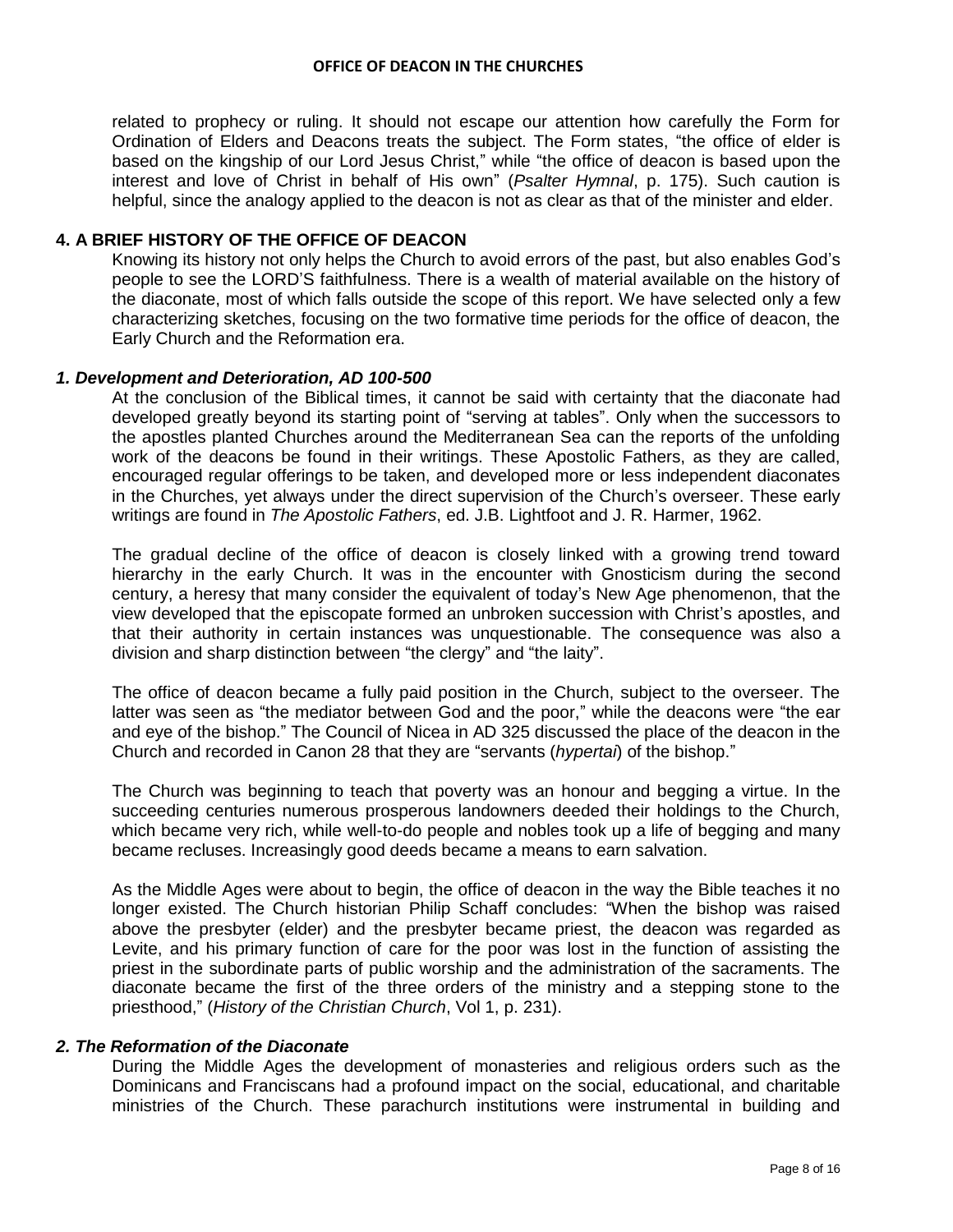related to prophecy or ruling. It should not escape our attention how carefully the Form for Ordination of Elders and Deacons treats the subject. The Form states, "the office of elder is based on the kingship of our Lord Jesus Christ," while "the office of deacon is based upon the interest and love of Christ in behalf of His own" (*Psalter Hymnal*, p. 175). Such caution is helpful, since the analogy applied to the deacon is not as clear as that of the minister and elder.

# **4. A BRIEF HISTORY OF THE OFFICE OF DEACON**

Knowing its history not only helps the Church to avoid errors of the past, but also enables God"s people to see the LORD"S faithfulness. There is a wealth of material available on the history of the diaconate, most of which falls outside the scope of this report. We have selected only a few characterizing sketches, focusing on the two formative time periods for the office of deacon, the Early Church and the Reformation era.

## *1. Development and Deterioration, AD 100-500*

At the conclusion of the Biblical times, it cannot be said with certainty that the diaconate had developed greatly beyond its starting point of "serving at tables". Only when the successors to the apostles planted Churches around the Mediterranean Sea can the reports of the unfolding work of the deacons be found in their writings. These Apostolic Fathers, as they are called, encouraged regular offerings to be taken, and developed more or less independent diaconates in the Churches, yet always under the direct supervision of the Church's overseer. These early writings are found in *The Apostolic Fathers*, ed. J.B. Lightfoot and J. R. Harmer, 1962.

The gradual decline of the office of deacon is closely linked with a growing trend toward hierarchy in the early Church. It was in the encounter with Gnosticism during the second century, a heresy that many consider the equivalent of today"s New Age phenomenon, that the view developed that the episcopate formed an unbroken succession with Christ"s apostles, and that their authority in certain instances was unquestionable. The consequence was also a division and sharp distinction between "the clergy" and "the laity".

The office of deacon became a fully paid position in the Church, subject to the overseer. The latter was seen as "the mediator between God and the poor," while the deacons were "the ear and eye of the bishop." The Council of Nicea in AD 325 discussed the place of the deacon in the Church and recorded in Canon 28 that they are "servants (*hypertai*) of the bishop."

The Church was beginning to teach that poverty was an honour and begging a virtue. In the succeeding centuries numerous prosperous landowners deeded their holdings to the Church, which became very rich, while well-to-do people and nobles took up a life of begging and many became recluses. Increasingly good deeds became a means to earn salvation.

As the Middle Ages were about to begin, the office of deacon in the way the Bible teaches it no longer existed. The Church historian Philip Schaff concludes: "When the bishop was raised above the presbyter (elder) and the presbyter became priest, the deacon was regarded as Levite, and his primary function of care for the poor was lost in the function of assisting the priest in the subordinate parts of public worship and the administration of the sacraments. The diaconate became the first of the three orders of the ministry and a stepping stone to the priesthood," (*History of the Christian Church*, Vol 1, p. 231).

## *2. The Reformation of the Diaconate*

During the Middle Ages the development of monasteries and religious orders such as the Dominicans and Franciscans had a profound impact on the social, educational, and charitable ministries of the Church. These parachurch institutions were instrumental in building and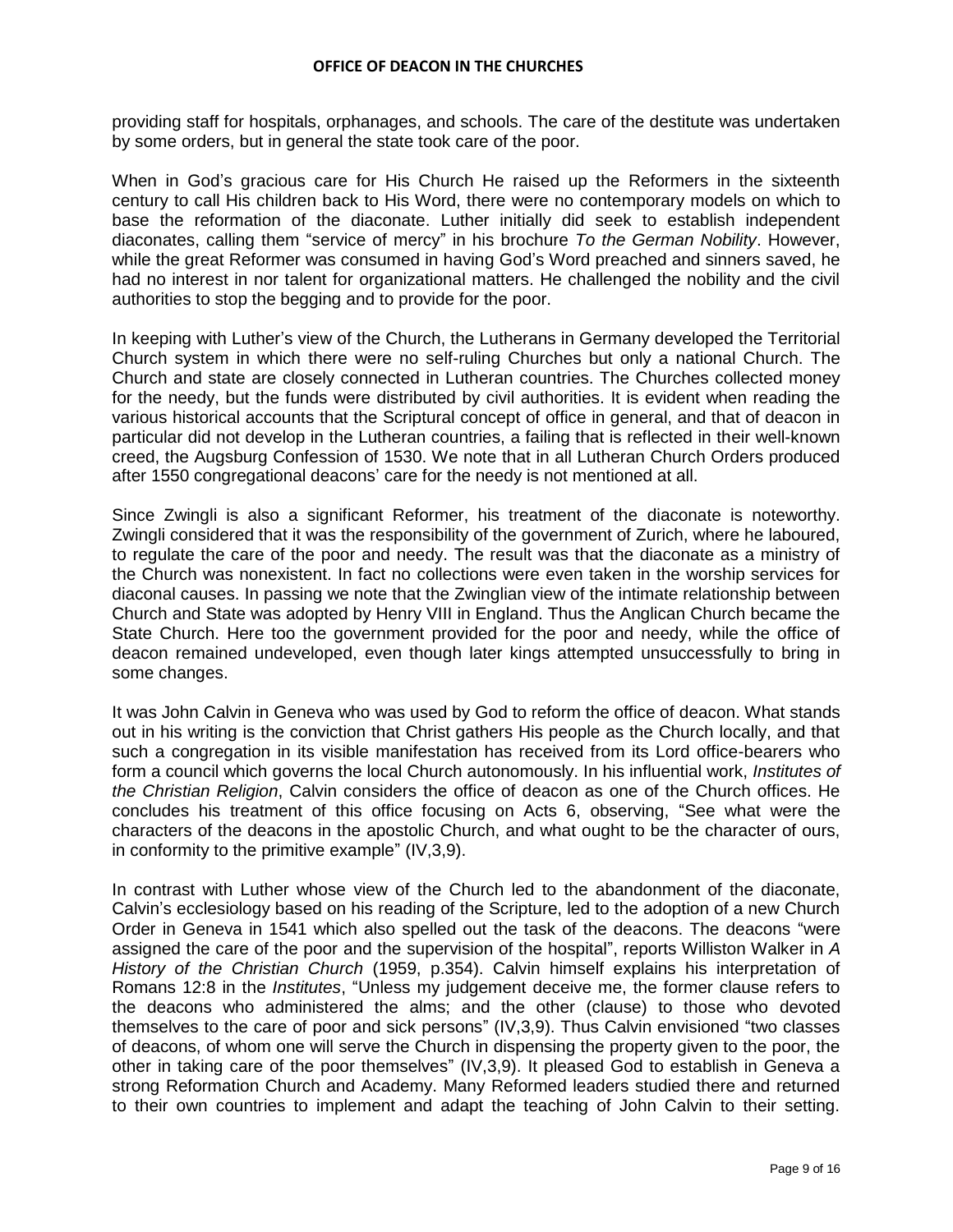providing staff for hospitals, orphanages, and schools. The care of the destitute was undertaken by some orders, but in general the state took care of the poor.

When in God"s gracious care for His Church He raised up the Reformers in the sixteenth century to call His children back to His Word, there were no contemporary models on which to base the reformation of the diaconate. Luther initially did seek to establish independent diaconates, calling them "service of mercy" in his brochure *To the German Nobility*. However, while the great Reformer was consumed in having God"s Word preached and sinners saved, he had no interest in nor talent for organizational matters. He challenged the nobility and the civil authorities to stop the begging and to provide for the poor.

In keeping with Luther"s view of the Church, the Lutherans in Germany developed the Territorial Church system in which there were no self-ruling Churches but only a national Church. The Church and state are closely connected in Lutheran countries. The Churches collected money for the needy, but the funds were distributed by civil authorities. It is evident when reading the various historical accounts that the Scriptural concept of office in general, and that of deacon in particular did not develop in the Lutheran countries, a failing that is reflected in their well-known creed, the Augsburg Confession of 1530. We note that in all Lutheran Church Orders produced after 1550 congregational deacons" care for the needy is not mentioned at all.

Since Zwingli is also a significant Reformer, his treatment of the diaconate is noteworthy. Zwingli considered that it was the responsibility of the government of Zurich, where he laboured, to regulate the care of the poor and needy. The result was that the diaconate as a ministry of the Church was nonexistent. In fact no collections were even taken in the worship services for diaconal causes. In passing we note that the Zwinglian view of the intimate relationship between Church and State was adopted by Henry VIII in England. Thus the Anglican Church became the State Church. Here too the government provided for the poor and needy, while the office of deacon remained undeveloped, even though later kings attempted unsuccessfully to bring in some changes.

It was John Calvin in Geneva who was used by God to reform the office of deacon. What stands out in his writing is the conviction that Christ gathers His people as the Church locally, and that such a congregation in its visible manifestation has received from its Lord office-bearers who form a council which governs the local Church autonomously. In his influential work, *Institutes of the Christian Religion*, Calvin considers the office of deacon as one of the Church offices. He concludes his treatment of this office focusing on Acts 6, observing, "See what were the characters of the deacons in the apostolic Church, and what ought to be the character of ours, in conformity to the primitive example" (IV,3,9).

In contrast with Luther whose view of the Church led to the abandonment of the diaconate, Calvin"s ecclesiology based on his reading of the Scripture, led to the adoption of a new Church Order in Geneva in 1541 which also spelled out the task of the deacons. The deacons "were assigned the care of the poor and the supervision of the hospital", reports Williston Walker in *A History of the Christian Church* (1959, p.354). Calvin himself explains his interpretation of Romans 12:8 in the *Institutes*, "Unless my judgement deceive me, the former clause refers to the deacons who administered the alms; and the other (clause) to those who devoted themselves to the care of poor and sick persons" (IV,3,9). Thus Calvin envisioned "two classes of deacons, of whom one will serve the Church in dispensing the property given to the poor, the other in taking care of the poor themselves" (IV,3,9). It pleased God to establish in Geneva a strong Reformation Church and Academy. Many Reformed leaders studied there and returned to their own countries to implement and adapt the teaching of John Calvin to their setting.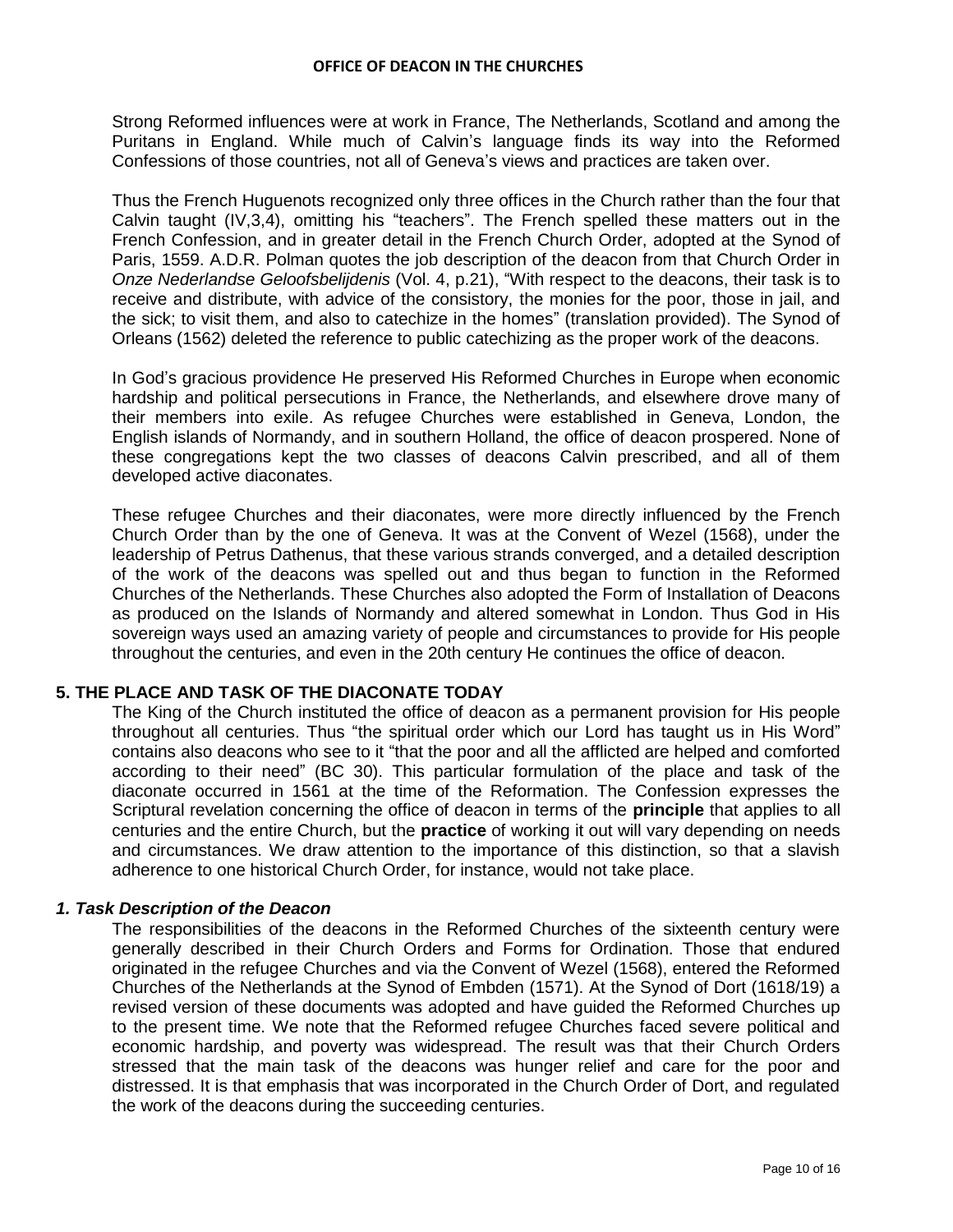Strong Reformed influences were at work in France, The Netherlands, Scotland and among the Puritans in England. While much of Calvin"s language finds its way into the Reformed Confessions of those countries, not all of Geneva"s views and practices are taken over.

Thus the French Huguenots recognized only three offices in the Church rather than the four that Calvin taught (IV,3,4), omitting his "teachers". The French spelled these matters out in the French Confession, and in greater detail in the French Church Order, adopted at the Synod of Paris, 1559. A.D.R. Polman quotes the job description of the deacon from that Church Order in *Onze Nederlandse Geloofsbelijdenis* (Vol. 4, p.21), "With respect to the deacons, their task is to receive and distribute, with advice of the consistory, the monies for the poor, those in jail, and the sick; to visit them, and also to catechize in the homes" (translation provided). The Synod of Orleans (1562) deleted the reference to public catechizing as the proper work of the deacons.

In God"s gracious providence He preserved His Reformed Churches in Europe when economic hardship and political persecutions in France, the Netherlands, and elsewhere drove many of their members into exile. As refugee Churches were established in Geneva, London, the English islands of Normandy, and in southern Holland, the office of deacon prospered. None of these congregations kept the two classes of deacons Calvin prescribed, and all of them developed active diaconates.

These refugee Churches and their diaconates, were more directly influenced by the French Church Order than by the one of Geneva. It was at the Convent of Wezel (1568), under the leadership of Petrus Dathenus, that these various strands converged, and a detailed description of the work of the deacons was spelled out and thus began to function in the Reformed Churches of the Netherlands. These Churches also adopted the Form of Installation of Deacons as produced on the Islands of Normandy and altered somewhat in London. Thus God in His sovereign ways used an amazing variety of people and circumstances to provide for His people throughout the centuries, and even in the 20th century He continues the office of deacon.

# **5. THE PLACE AND TASK OF THE DIACONATE TODAY**

The King of the Church instituted the office of deacon as a permanent provision for His people throughout all centuries. Thus "the spiritual order which our Lord has taught us in His Word" contains also deacons who see to it "that the poor and all the afflicted are helped and comforted according to their need" (BC 30). This particular formulation of the place and task of the diaconate occurred in 1561 at the time of the Reformation. The Confession expresses the Scriptural revelation concerning the office of deacon in terms of the **principle** that applies to all centuries and the entire Church, but the **practice** of working it out will vary depending on needs and circumstances. We draw attention to the importance of this distinction, so that a slavish adherence to one historical Church Order, for instance, would not take place.

## *1. Task Description of the Deacon*

The responsibilities of the deacons in the Reformed Churches of the sixteenth century were generally described in their Church Orders and Forms for Ordination. Those that endured originated in the refugee Churches and via the Convent of Wezel (1568), entered the Reformed Churches of the Netherlands at the Synod of Embden (1571). At the Synod of Dort (1618/19) a revised version of these documents was adopted and have guided the Reformed Churches up to the present time. We note that the Reformed refugee Churches faced severe political and economic hardship, and poverty was widespread. The result was that their Church Orders stressed that the main task of the deacons was hunger relief and care for the poor and distressed. It is that emphasis that was incorporated in the Church Order of Dort, and regulated the work of the deacons during the succeeding centuries.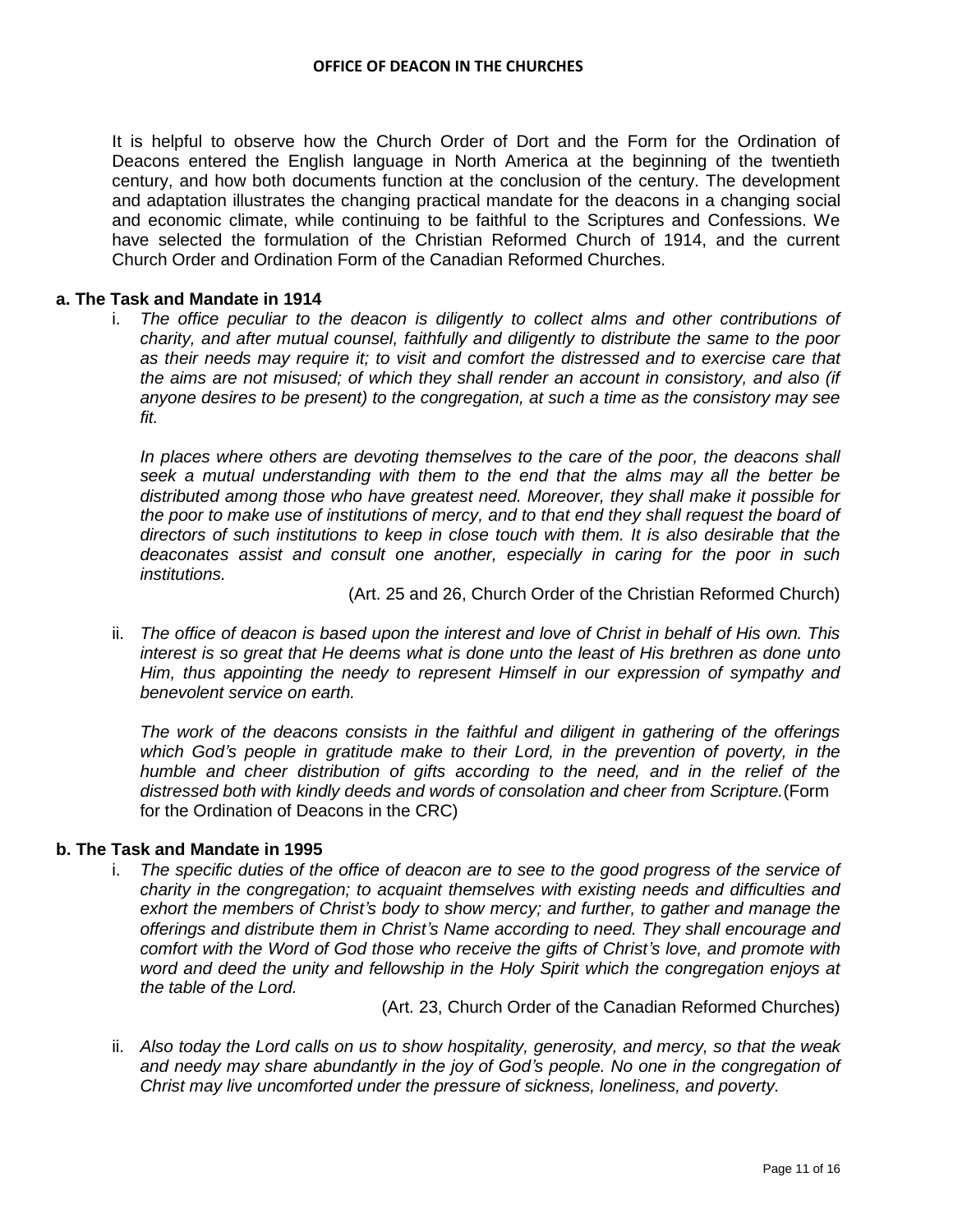It is helpful to observe how the Church Order of Dort and the Form for the Ordination of Deacons entered the English language in North America at the beginning of the twentieth century, and how both documents function at the conclusion of the century. The development and adaptation illustrates the changing practical mandate for the deacons in a changing social and economic climate, while continuing to be faithful to the Scriptures and Confessions. We have selected the formulation of the Christian Reformed Church of 1914, and the current Church Order and Ordination Form of the Canadian Reformed Churches.

#### **a. The Task and Mandate in 1914**

i. *The office peculiar to the deacon is diligently to collect alms and other contributions of charity, and after mutual counsel, faithfully and diligently to distribute the same to the poor as their needs may require it; to visit and comfort the distressed and to exercise care that the aims are not misused; of which they shall render an account in consistory, and also (if anyone desires to be present) to the congregation, at such a time as the consistory may see fit.* 

In places where others are devoting themselves to the care of the poor, the deacons shall *seek a mutual understanding with them to the end that the alms may all the better be distributed among those who have greatest need. Moreover, they shall make it possible for the poor to make use of institutions of mercy, and to that end they shall request the board of directors of such institutions to keep in close touch with them. It is also desirable that the deaconates assist and consult one another, especially in caring for the poor in such institutions.*

(Art. 25 and 26, Church Order of the Christian Reformed Church)

ii. *The office of deacon is based upon the interest and love of Christ in behalf of His own. This interest is so great that He deems what is done unto the least of His brethren as done unto Him, thus appointing the needy to represent Himself in our expression of sympathy and benevolent service on earth.*

*The work of the deacons consists in the faithful and diligent in gathering of the offerings which God's people in gratitude make to their Lord, in the prevention of poverty, in the humble and cheer distribution of gifts according to the need, and in the relief of the distressed both with kindly deeds and words of consolation and cheer from Scripture.*(Form for the Ordination of Deacons in the CRC)

## **b. The Task and Mandate in 1995**

i. *The specific duties of the office of deacon are to see to the good progress of the service of charity in the congregation; to acquaint themselves with existing needs and difficulties and exhort the members of Christ's body to show mercy; and further, to gather and manage the offerings and distribute them in Christ's Name according to need. They shall encourage and comfort with the Word of God those who receive the gifts of Christ's love, and promote with word and deed the unity and fellowship in the Holy Spirit which the congregation enjoys at the table of the Lord.*

(Art. 23, Church Order of the Canadian Reformed Churches)

ii. *Also today the Lord calls on us to show hospitality, generosity, and mercy, so that the weak*  and needy may share abundantly in the joy of God's people. No one in the congregation of *Christ may live uncomforted under the pressure of sickness, loneliness, and poverty.*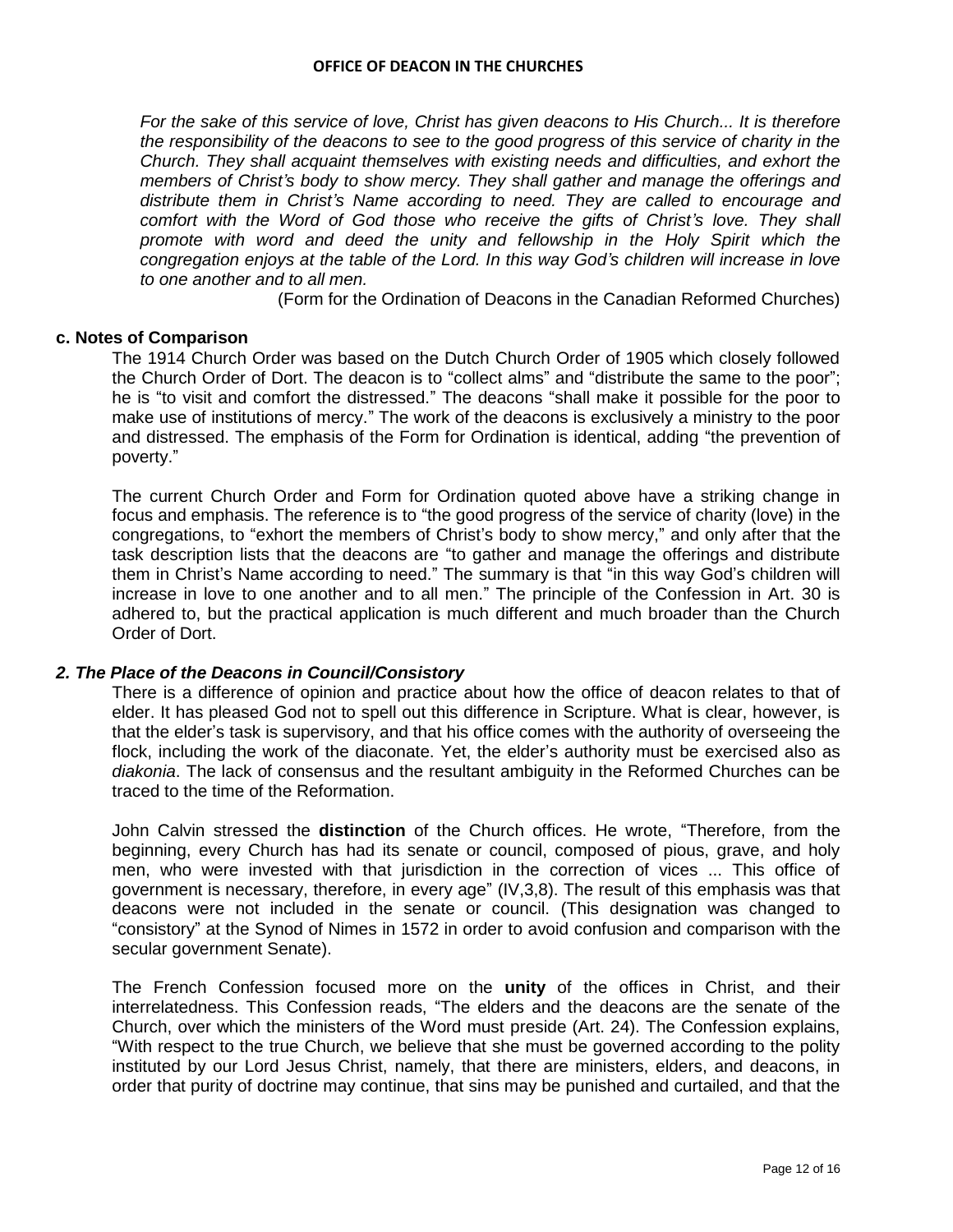*For the sake of this service of love, Christ has given deacons to His Church... It is therefore the responsibility of the deacons to see to the good progress of this service of charity in the Church. They shall acquaint themselves with existing needs and difficulties, and exhort the members of Christ's body to show mercy. They shall gather and manage the offerings and distribute them in Christ's Name according to need. They are called to encourage and comfort with the Word of God those who receive the gifts of Christ's love. They shall promote with word and deed the unity and fellowship in the Holy Spirit which the congregation enjoys at the table of the Lord. In this way God's children will increase in love to one another and to all men.*

(Form for the Ordination of Deacons in the Canadian Reformed Churches)

## **c. Notes of Comparison**

The 1914 Church Order was based on the Dutch Church Order of 1905 which closely followed the Church Order of Dort. The deacon is to "collect alms" and "distribute the same to the poor"; he is "to visit and comfort the distressed." The deacons "shall make it possible for the poor to make use of institutions of mercy." The work of the deacons is exclusively a ministry to the poor and distressed. The emphasis of the Form for Ordination is identical, adding "the prevention of poverty."

The current Church Order and Form for Ordination quoted above have a striking change in focus and emphasis. The reference is to "the good progress of the service of charity (love) in the congregations, to "exhort the members of Christ"s body to show mercy," and only after that the task description lists that the deacons are "to gather and manage the offerings and distribute them in Christ's Name according to need." The summary is that "in this way God's children will increase in love to one another and to all men." The principle of the Confession in Art. 30 is adhered to, but the practical application is much different and much broader than the Church Order of Dort.

#### *2. The Place of the Deacons in Council/Consistory*

There is a difference of opinion and practice about how the office of deacon relates to that of elder. It has pleased God not to spell out this difference in Scripture. What is clear, however, is that the elder"s task is supervisory, and that his office comes with the authority of overseeing the flock, including the work of the diaconate. Yet, the elder"s authority must be exercised also as *diakonia*. The lack of consensus and the resultant ambiguity in the Reformed Churches can be traced to the time of the Reformation.

John Calvin stressed the **distinction** of the Church offices. He wrote, "Therefore, from the beginning, every Church has had its senate or council, composed of pious, grave, and holy men, who were invested with that jurisdiction in the correction of vices ... This office of government is necessary, therefore, in every age" (IV,3,8). The result of this emphasis was that deacons were not included in the senate or council. (This designation was changed to "consistory" at the Synod of Nimes in 1572 in order to avoid confusion and comparison with the secular government Senate).

The French Confession focused more on the **unity** of the offices in Christ, and their interrelatedness. This Confession reads, "The elders and the deacons are the senate of the Church, over which the ministers of the Word must preside (Art. 24). The Confession explains, "With respect to the true Church, we believe that she must be governed according to the polity instituted by our Lord Jesus Christ, namely, that there are ministers, elders, and deacons, in order that purity of doctrine may continue, that sins may be punished and curtailed, and that the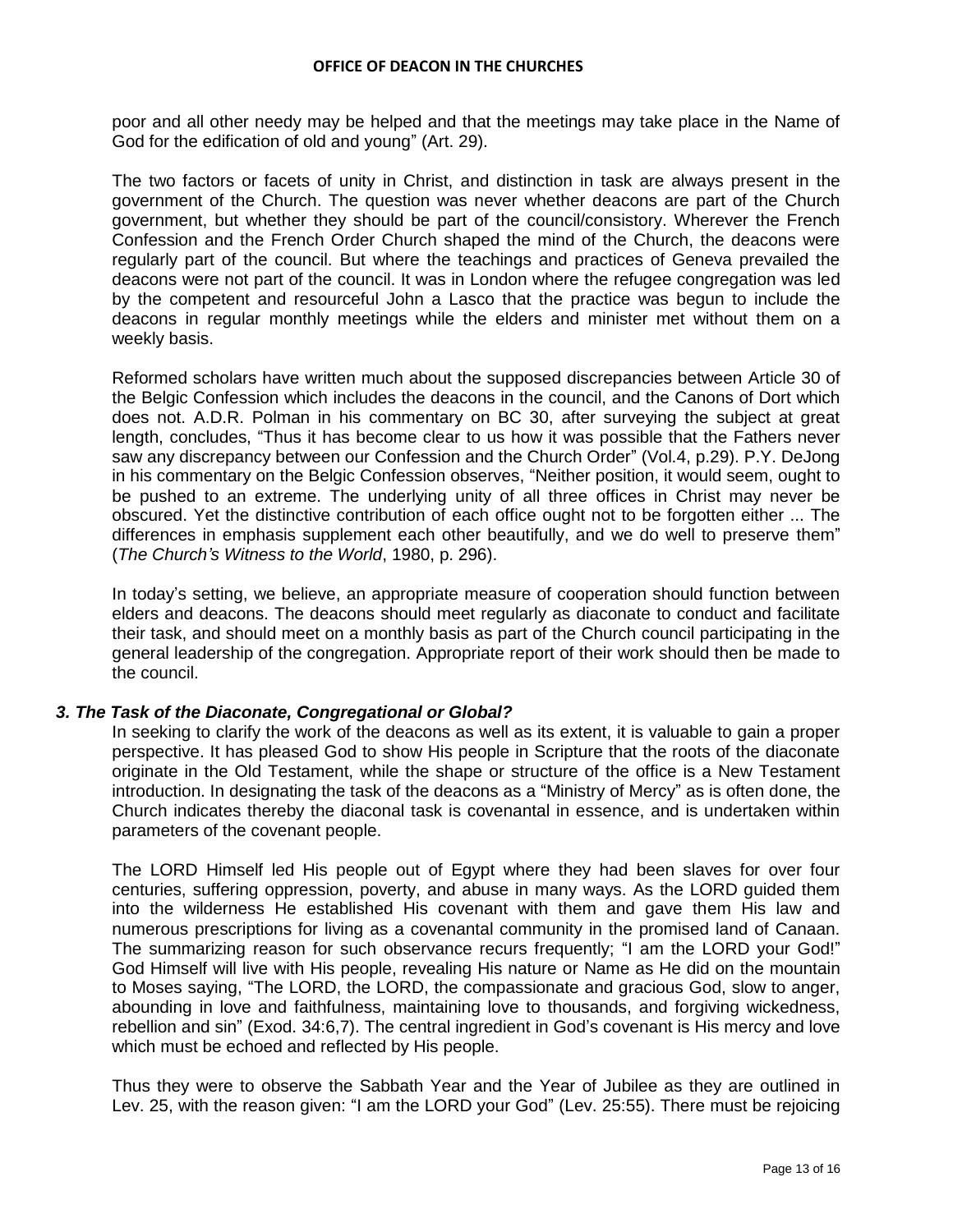poor and all other needy may be helped and that the meetings may take place in the Name of God for the edification of old and young" (Art. 29).

The two factors or facets of unity in Christ, and distinction in task are always present in the government of the Church. The question was never whether deacons are part of the Church government, but whether they should be part of the council/consistory. Wherever the French Confession and the French Order Church shaped the mind of the Church, the deacons were regularly part of the council. But where the teachings and practices of Geneva prevailed the deacons were not part of the council. It was in London where the refugee congregation was led by the competent and resourceful John a Lasco that the practice was begun to include the deacons in regular monthly meetings while the elders and minister met without them on a weekly basis.

Reformed scholars have written much about the supposed discrepancies between Article 30 of the Belgic Confession which includes the deacons in the council, and the Canons of Dort which does not. A.D.R. Polman in his commentary on BC 30, after surveying the subject at great length, concludes, "Thus it has become clear to us how it was possible that the Fathers never saw any discrepancy between our Confession and the Church Order" (Vol.4, p.29). P.Y. DeJong in his commentary on the Belgic Confession observes, "Neither position, it would seem, ought to be pushed to an extreme. The underlying unity of all three offices in Christ may never be obscured. Yet the distinctive contribution of each office ought not to be forgotten either ... The differences in emphasis supplement each other beautifully, and we do well to preserve them" (*The Church's Witness to the World*, 1980, p. 296).

In today"s setting, we believe, an appropriate measure of cooperation should function between elders and deacons. The deacons should meet regularly as diaconate to conduct and facilitate their task, and should meet on a monthly basis as part of the Church council participating in the general leadership of the congregation. Appropriate report of their work should then be made to the council.

## *3. The Task of the Diaconate, Congregational or Global?*

In seeking to clarify the work of the deacons as well as its extent, it is valuable to gain a proper perspective. It has pleased God to show His people in Scripture that the roots of the diaconate originate in the Old Testament, while the shape or structure of the office is a New Testament introduction. In designating the task of the deacons as a "Ministry of Mercy" as is often done, the Church indicates thereby the diaconal task is covenantal in essence, and is undertaken within parameters of the covenant people.

The LORD Himself led His people out of Egypt where they had been slaves for over four centuries, suffering oppression, poverty, and abuse in many ways. As the LORD guided them into the wilderness He established His covenant with them and gave them His law and numerous prescriptions for living as a covenantal community in the promised land of Canaan. The summarizing reason for such observance recurs frequently; "I am the LORD your God!" God Himself will live with His people, revealing His nature or Name as He did on the mountain to Moses saying, "The LORD, the LORD, the compassionate and gracious God, slow to anger, abounding in love and faithfulness, maintaining love to thousands, and forgiving wickedness, rebellion and sin" (Exod. 34:6,7). The central ingredient in God"s covenant is His mercy and love which must be echoed and reflected by His people.

Thus they were to observe the Sabbath Year and the Year of Jubilee as they are outlined in Lev. 25, with the reason given: "I am the LORD your God" (Lev. 25:55). There must be rejoicing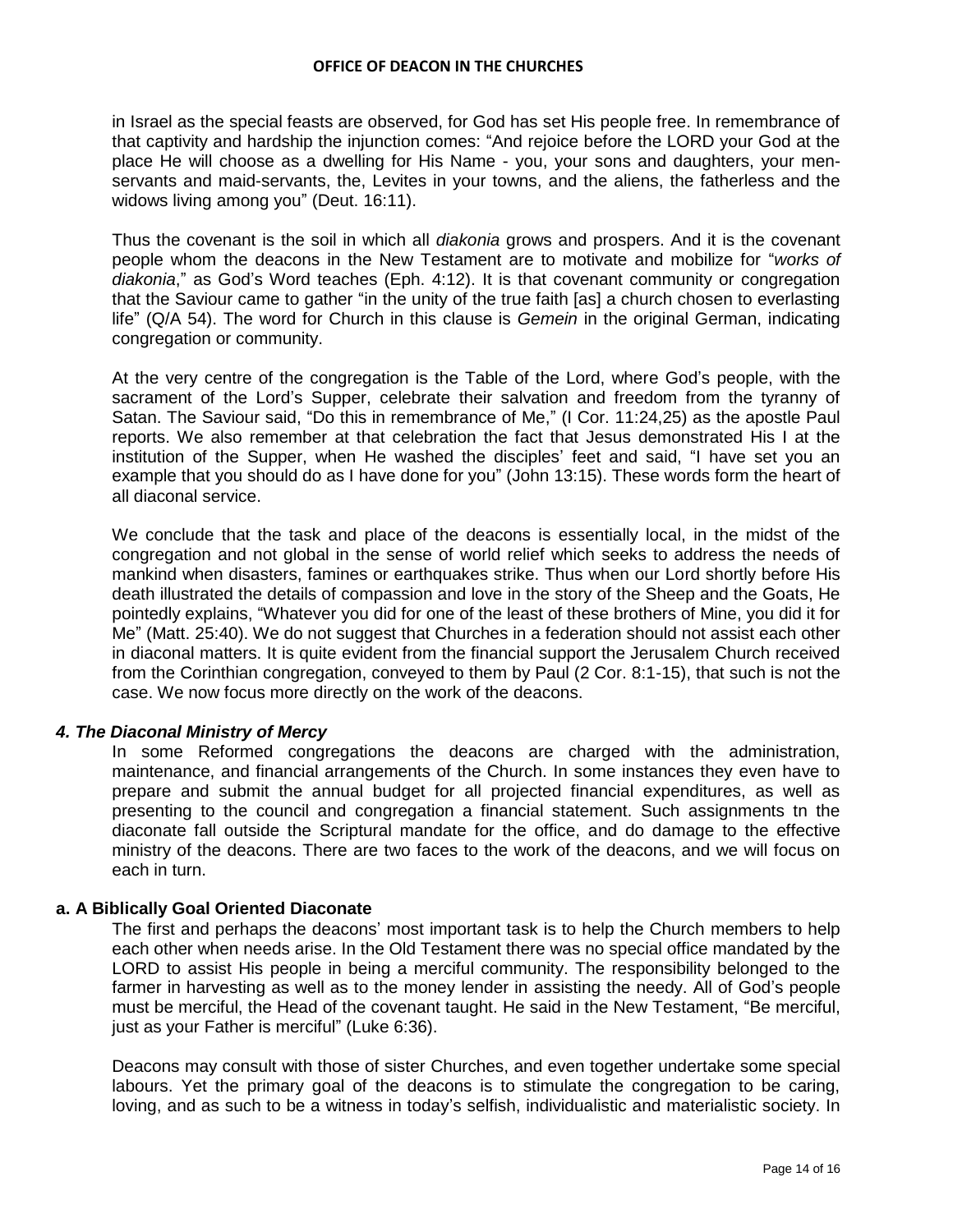in Israel as the special feasts are observed, for God has set His people free. In remembrance of that captivity and hardship the injunction comes: "And rejoice before the LORD your God at the place He will choose as a dwelling for His Name - you, your sons and daughters, your menservants and maid-servants, the, Levites in your towns, and the aliens, the fatherless and the widows living among you" (Deut. 16:11).

Thus the covenant is the soil in which all *diakonia* grows and prospers. And it is the covenant people whom the deacons in the New Testament are to motivate and mobilize for "*works of diakonia*," as God"s Word teaches (Eph. 4:12). It is that covenant community or congregation that the Saviour came to gather "in the unity of the true faith [as] a church chosen to everlasting life" (Q/A 54). The word for Church in this clause is *Gemein* in the original German, indicating congregation or community.

At the very centre of the congregation is the Table of the Lord, where God"s people, with the sacrament of the Lord"s Supper, celebrate their salvation and freedom from the tyranny of Satan. The Saviour said, "Do this in remembrance of Me," (I Cor. 11:24,25) as the apostle Paul reports. We also remember at that celebration the fact that Jesus demonstrated His I at the institution of the Supper, when He washed the disciples" feet and said, "I have set you an example that you should do as I have done for you" (John 13:15). These words form the heart of all diaconal service.

We conclude that the task and place of the deacons is essentially local, in the midst of the congregation and not global in the sense of world relief which seeks to address the needs of mankind when disasters, famines or earthquakes strike. Thus when our Lord shortly before His death illustrated the details of compassion and love in the story of the Sheep and the Goats, He pointedly explains, "Whatever you did for one of the least of these brothers of Mine, you did it for Me" (Matt. 25:40). We do not suggest that Churches in a federation should not assist each other in diaconal matters. It is quite evident from the financial support the Jerusalem Church received from the Corinthian congregation, conveyed to them by Paul (2 Cor. 8:1-15), that such is not the case. We now focus more directly on the work of the deacons.

## *4. The Diaconal Ministry of Mercy*

In some Reformed congregations the deacons are charged with the administration, maintenance, and financial arrangements of the Church. In some instances they even have to prepare and submit the annual budget for all projected financial expenditures, as well as presenting to the council and congregation a financial statement. Such assignments tn the diaconate fall outside the Scriptural mandate for the office, and do damage to the effective ministry of the deacons. There are two faces to the work of the deacons, and we will focus on each in turn.

## **a. A Biblically Goal Oriented Diaconate**

The first and perhaps the deacons" most important task is to help the Church members to help each other when needs arise. In the Old Testament there was no special office mandated by the LORD to assist His people in being a merciful community. The responsibility belonged to the farmer in harvesting as well as to the money lender in assisting the needy. All of God"s people must be merciful, the Head of the covenant taught. He said in the New Testament, "Be merciful, just as your Father is merciful" (Luke 6:36).

Deacons may consult with those of sister Churches, and even together undertake some special labours. Yet the primary goal of the deacons is to stimulate the congregation to be caring, loving, and as such to be a witness in today"s selfish, individualistic and materialistic society. In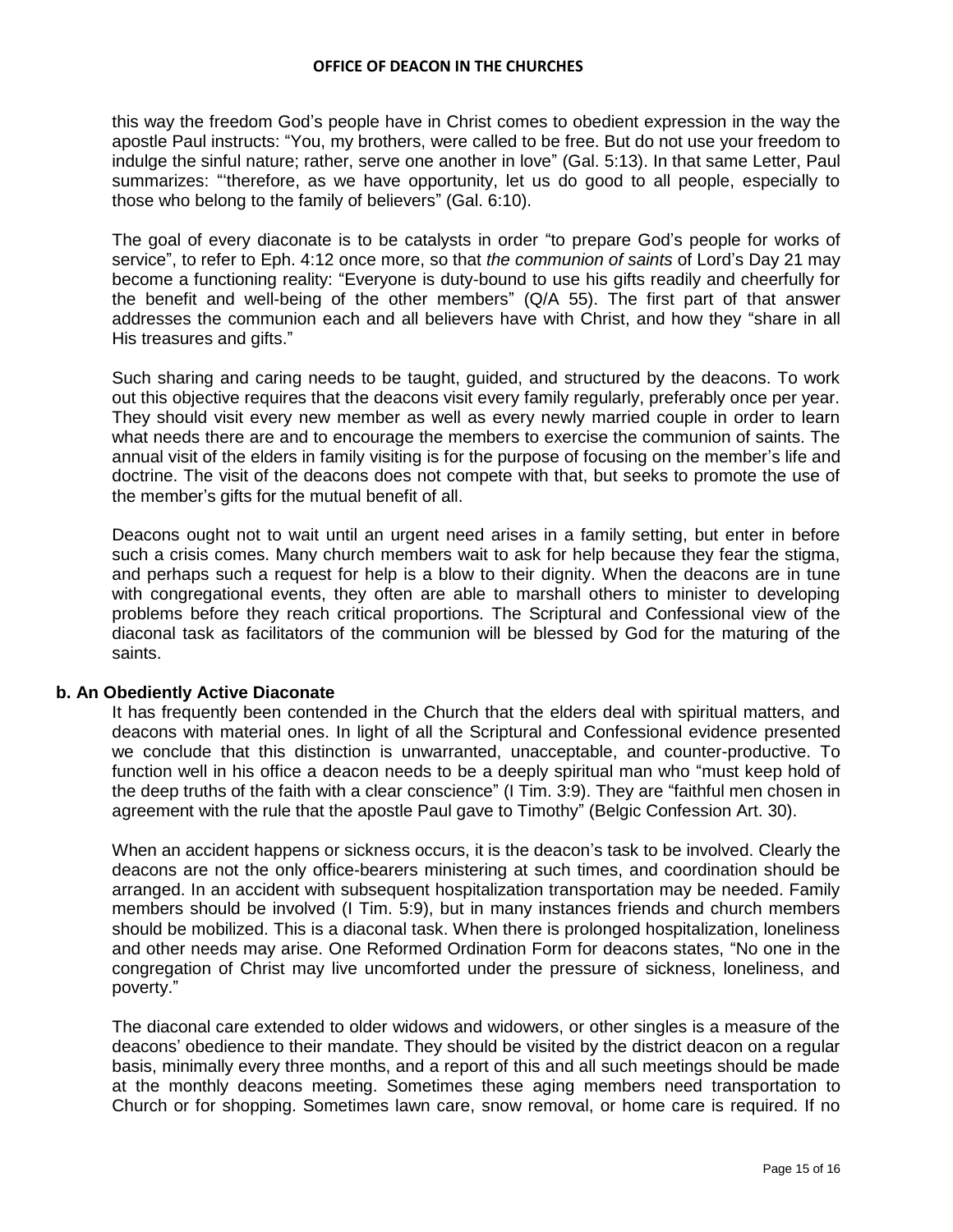this way the freedom God"s people have in Christ comes to obedient expression in the way the apostle Paul instructs: "You, my brothers, were called to be free. But do not use your freedom to indulge the sinful nature; rather, serve one another in love" (Gal. 5:13). In that same Letter, Paul summarizes: ""therefore, as we have opportunity, let us do good to all people, especially to those who belong to the family of believers" (Gal. 6:10).

The goal of every diaconate is to be catalysts in order "to prepare God"s people for works of service", to refer to Eph. 4:12 once more, so that *the communion of saints* of Lord"s Day 21 may become a functioning reality: "Everyone is duty-bound to use his gifts readily and cheerfully for the benefit and well-being of the other members" (Q/A 55). The first part of that answer addresses the communion each and all believers have with Christ, and how they "share in all His treasures and gifts."

Such sharing and caring needs to be taught, guided, and structured by the deacons. To work out this objective requires that the deacons visit every family regularly, preferably once per year. They should visit every new member as well as every newly married couple in order to learn what needs there are and to encourage the members to exercise the communion of saints. The annual visit of the elders in family visiting is for the purpose of focusing on the member"s life and doctrine. The visit of the deacons does not compete with that, but seeks to promote the use of the member"s gifts for the mutual benefit of all.

Deacons ought not to wait until an urgent need arises in a family setting, but enter in before such a crisis comes. Many church members wait to ask for help because they fear the stigma, and perhaps such a request for help is a blow to their dignity. When the deacons are in tune with congregational events, they often are able to marshall others to minister to developing problems before they reach critical proportions. The Scriptural and Confessional view of the diaconal task as facilitators of the communion will be blessed by God for the maturing of the saints.

## **b. An Obediently Active Diaconate**

It has frequently been contended in the Church that the elders deal with spiritual matters, and deacons with material ones. In light of all the Scriptural and Confessional evidence presented we conclude that this distinction is unwarranted, unacceptable, and counter-productive. To function well in his office a deacon needs to be a deeply spiritual man who "must keep hold of the deep truths of the faith with a clear conscience" (I Tim. 3:9). They are "faithful men chosen in agreement with the rule that the apostle Paul gave to Timothy" (Belgic Confession Art. 30).

When an accident happens or sickness occurs, it is the deacon's task to be involved. Clearly the deacons are not the only office-bearers ministering at such times, and coordination should be arranged. In an accident with subsequent hospitalization transportation may be needed. Family members should be involved (I Tim. 5:9), but in many instances friends and church members should be mobilized. This is a diaconal task. When there is prolonged hospitalization, loneliness and other needs may arise. One Reformed Ordination Form for deacons states, "No one in the congregation of Christ may live uncomforted under the pressure of sickness, loneliness, and poverty."

The diaconal care extended to older widows and widowers, or other singles is a measure of the deacons" obedience to their mandate. They should be visited by the district deacon on a regular basis, minimally every three months, and a report of this and all such meetings should be made at the monthly deacons meeting. Sometimes these aging members need transportation to Church or for shopping. Sometimes lawn care, snow removal, or home care is required. If no